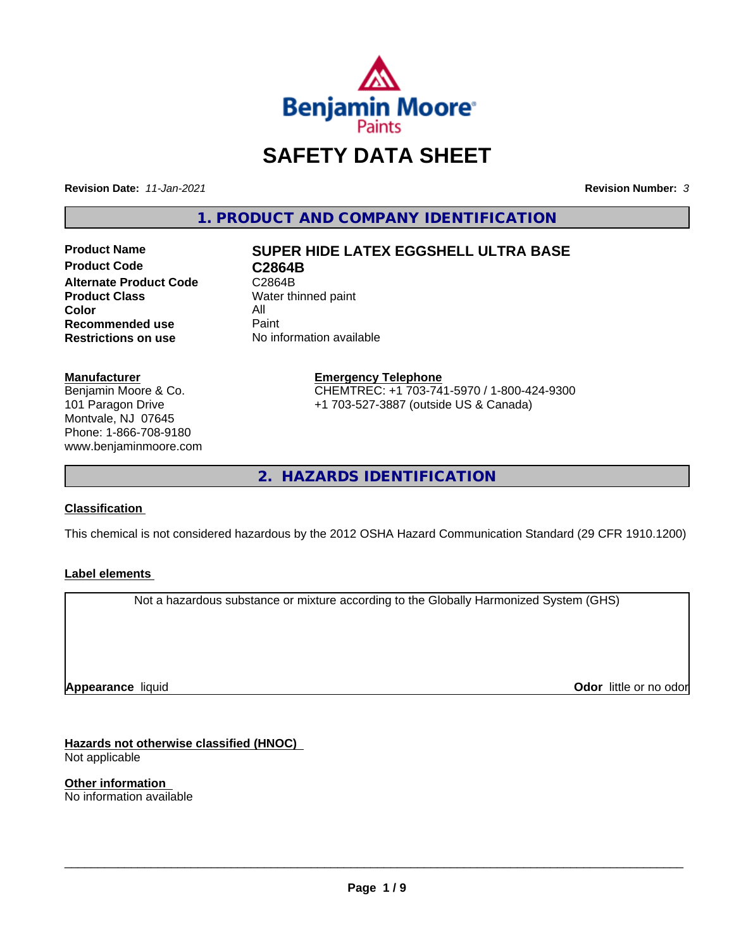

# **SAFETY DATA SHEET**

**Revision Date:** *11-Jan-2021* **Revision Number:** *3*

**1. PRODUCT AND COMPANY IDENTIFICATION**

**Product Code C2864B Alternate Product Code** C2864B<br> **Product Class** Water th **Color** All<br> **Recommended use** Paint **Recommended use**<br>Restrictions on use

# **Product Name SUPER HIDE LATEX EGGSHELL ULTRA BASE**

**Water thinned paint No information available** 

#### **Manufacturer**

Benjamin Moore & Co. 101 Paragon Drive Montvale, NJ 07645 Phone: 1-866-708-9180 www.benjaminmoore.com

## **Emergency Telephone** CHEMTREC: +1 703-741-5970 / 1-800-424-9300 +1 703-527-3887 (outside US & Canada)

**2. HAZARDS IDENTIFICATION**

# **Classification**

This chemical is not considered hazardous by the 2012 OSHA Hazard Communication Standard (29 CFR 1910.1200)

# **Label elements**

Not a hazardous substance or mixture according to the Globally Harmonized System (GHS)

**Appearance** liquid

**Odor** little or no odor

**Hazards not otherwise classified (HNOC)** Not applicable

**Other information** No information available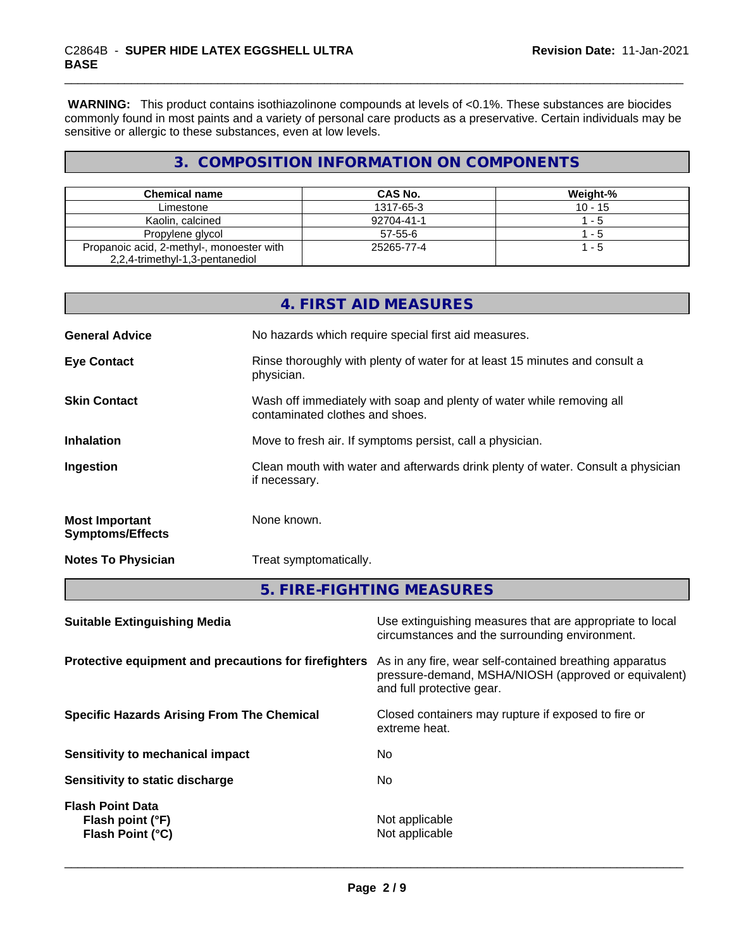**WARNING:** This product contains isothiazolinone compounds at levels of <0.1%. These substances are biocides commonly found in most paints and a variety of personal care products as a preservative. Certain individuals may be sensitive or allergic to these substances, even at low levels.

# **3. COMPOSITION INFORMATION ON COMPONENTS**

| Chemical name                                                                | CAS No.       | Weight-%  |
|------------------------------------------------------------------------------|---------------|-----------|
| Limestone                                                                    | 1317-65-3     | $10 - 15$ |
| Kaolin, calcined                                                             | 92704-41-1    | -5        |
| Propylene glycol                                                             | $57 - 55 - 6$ | - 5       |
| Propanoic acid, 2-methyl-, monoester with<br>2,2,4-trimethyl-1,3-pentanediol | 25265-77-4    | - 5       |

|                                                  | 4. FIRST AID MEASURES                                                                                    |
|--------------------------------------------------|----------------------------------------------------------------------------------------------------------|
| <b>General Advice</b>                            | No hazards which require special first aid measures.                                                     |
| <b>Eye Contact</b>                               | Rinse thoroughly with plenty of water for at least 15 minutes and consult a<br>physician.                |
| <b>Skin Contact</b>                              | Wash off immediately with soap and plenty of water while removing all<br>contaminated clothes and shoes. |
| <b>Inhalation</b>                                | Move to fresh air. If symptoms persist, call a physician.                                                |
| Ingestion                                        | Clean mouth with water and afterwards drink plenty of water. Consult a physician<br>if necessary.        |
| <b>Most Important</b><br><b>Symptoms/Effects</b> | None known.                                                                                              |
| <b>Notes To Physician</b>                        | Treat symptomatically.                                                                                   |
|                                                  | F FINE FICUTING MEACURES                                                                                 |

**5. FIRE-FIGHTING MEASURES**

| Use extinguishing measures that are appropriate to local<br>circumstances and the surrounding environment.                                   |
|----------------------------------------------------------------------------------------------------------------------------------------------|
| As in any fire, wear self-contained breathing apparatus<br>pressure-demand, MSHA/NIOSH (approved or equivalent)<br>and full protective gear. |
| Closed containers may rupture if exposed to fire or<br>extreme heat.                                                                         |
| No                                                                                                                                           |
| No                                                                                                                                           |
| Not applicable<br>Not applicable                                                                                                             |
|                                                                                                                                              |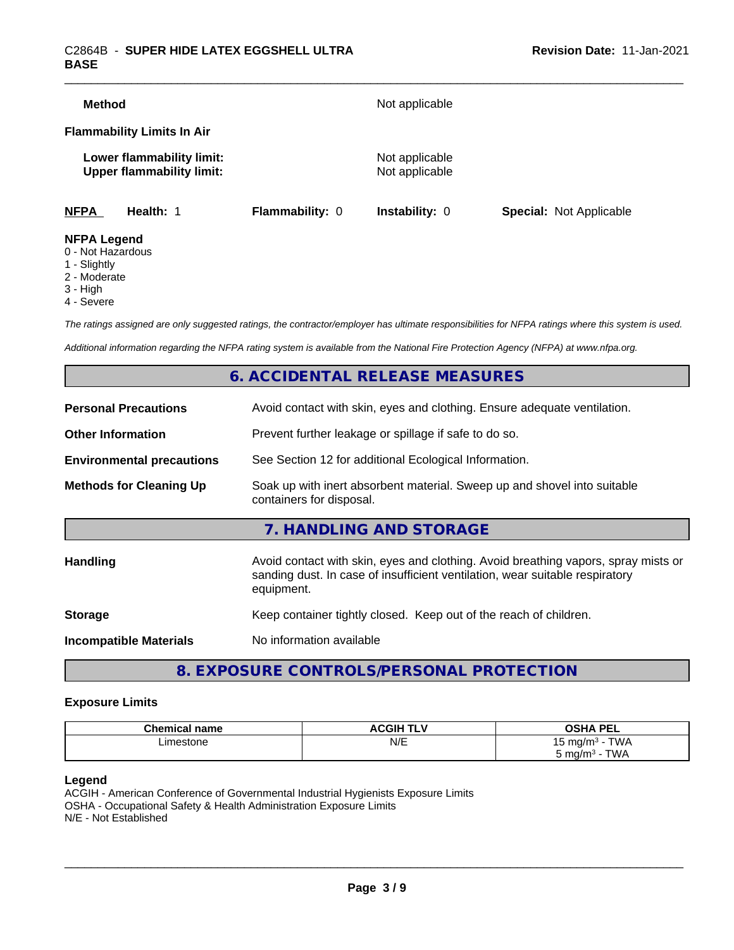| Method                                  |                                                               |                 | Not applicable                   |                                |
|-----------------------------------------|---------------------------------------------------------------|-----------------|----------------------------------|--------------------------------|
|                                         | <b>Flammability Limits In Air</b>                             |                 |                                  |                                |
|                                         | Lower flammability limit:<br><b>Upper flammability limit:</b> |                 | Not applicable<br>Not applicable |                                |
| <b>NFPA</b>                             | Health: 1                                                     | Flammability: 0 | <b>Instability: 0</b>            | <b>Special: Not Applicable</b> |
| <b>NFPA Legend</b><br>0 - Not Hazardous |                                                               |                 |                                  |                                |

- 1 Slightly
- 2 Moderate
- 3 High
- 
- 4 Severe

*The ratings assigned are only suggested ratings, the contractor/employer has ultimate responsibilities for NFPA ratings where this system is used.*

*Additional information regarding the NFPA rating system is available from the National Fire Protection Agency (NFPA) at www.nfpa.org.*

# **6. ACCIDENTAL RELEASE MEASURES**

| <b>Personal Precautions</b>      | Avoid contact with skin, eyes and clothing. Ensure adequate ventilation.                                                                                                         |
|----------------------------------|----------------------------------------------------------------------------------------------------------------------------------------------------------------------------------|
| <b>Other Information</b>         | Prevent further leakage or spillage if safe to do so.                                                                                                                            |
| <b>Environmental precautions</b> | See Section 12 for additional Ecological Information.                                                                                                                            |
| <b>Methods for Cleaning Up</b>   | Soak up with inert absorbent material. Sweep up and shovel into suitable<br>containers for disposal.                                                                             |
|                                  | 7. HANDLING AND STORAGE                                                                                                                                                          |
| Handling                         | Avoid contact with skin, eyes and clothing. Avoid breathing vapors, spray mists or<br>sanding dust. In case of insufficient ventilation, wear suitable respiratory<br>equipment. |
| <b>Storage</b>                   | Keep container tightly closed. Keep out of the reach of children.                                                                                                                |
| <b>Incompatible Materials</b>    | No information available                                                                                                                                                         |
|                                  |                                                                                                                                                                                  |

# **8. EXPOSURE CONTROLS/PERSONAL PROTECTION**

## **Exposure Limits**

| <b>Chemical name</b> | <b>ACGIH TLV</b> | <b>OSHA PEL</b>                       |
|----------------------|------------------|---------------------------------------|
| ∟imestone            | N/E              | $T$ $M$<br>` mɑ/m∘<br><b>VVM</b><br>ັ |
|                      |                  | TWA<br>ma/m<br>ບ ເ                    |

#### **Legend**

ACGIH - American Conference of Governmental Industrial Hygienists Exposure Limits OSHA - Occupational Safety & Health Administration Exposure Limits N/E - Not Established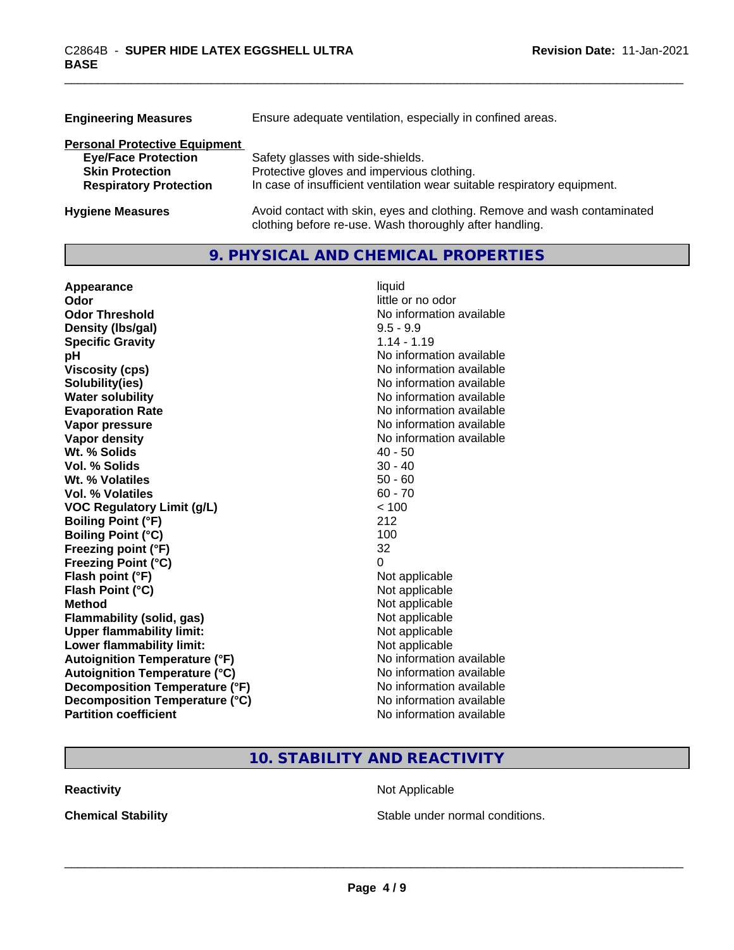| <b>Engineering Measures</b>          | Ensure adequate ventilation, especially in confined areas.                                                                          |  |  |
|--------------------------------------|-------------------------------------------------------------------------------------------------------------------------------------|--|--|
| <b>Personal Protective Equipment</b> |                                                                                                                                     |  |  |
| <b>Eye/Face Protection</b>           | Safety glasses with side-shields.                                                                                                   |  |  |
| <b>Skin Protection</b>               | Protective gloves and impervious clothing.                                                                                          |  |  |
| <b>Respiratory Protection</b>        | In case of insufficient ventilation wear suitable respiratory equipment.                                                            |  |  |
| <b>Hygiene Measures</b>              | Avoid contact with skin, eyes and clothing. Remove and wash contaminated<br>clothing before re-use. Wash thoroughly after handling. |  |  |

# **9. PHYSICAL AND CHEMICAL PROPERTIES**

| Appearance                           | liquid                   |
|--------------------------------------|--------------------------|
| Odor                                 | little or no odor        |
| <b>Odor Threshold</b>                | No information available |
| Density (Ibs/gal)                    | $9.5 - 9.9$              |
| <b>Specific Gravity</b>              | $1.14 - 1.19$            |
| рH                                   | No information available |
| <b>Viscosity (cps)</b>               | No information available |
| Solubility(ies)                      | No information available |
| <b>Water solubility</b>              | No information available |
| <b>Evaporation Rate</b>              | No information available |
| Vapor pressure                       | No information available |
| Vapor density                        | No information available |
| Wt. % Solids                         | $40 - 50$                |
| Vol. % Solids                        | $30 - 40$                |
| Wt. % Volatiles                      | $50 - 60$                |
| Vol. % Volatiles                     | $60 - 70$                |
| <b>VOC Regulatory Limit (g/L)</b>    | < 100                    |
| <b>Boiling Point (°F)</b>            | 212                      |
| <b>Boiling Point (°C)</b>            | 100                      |
| Freezing point (°F)                  | 32                       |
| <b>Freezing Point (°C)</b>           | 0                        |
| Flash point (°F)                     | Not applicable           |
| Flash Point (°C)                     | Not applicable           |
| <b>Method</b>                        | Not applicable           |
| Flammability (solid, gas)            | Not applicable           |
| <b>Upper flammability limit:</b>     | Not applicable           |
| Lower flammability limit:            | Not applicable           |
| <b>Autoignition Temperature (°F)</b> | No information available |
| <b>Autoignition Temperature (°C)</b> | No information available |
| Decomposition Temperature (°F)       | No information available |
| Decomposition Temperature (°C)       | No information available |
| <b>Partition coefficient</b>         | No information available |

# **10. STABILITY AND REACTIVITY**

**Reactivity Not Applicable Not Applicable** 

**Chemical Stability Chemical Stability** Stable under normal conditions.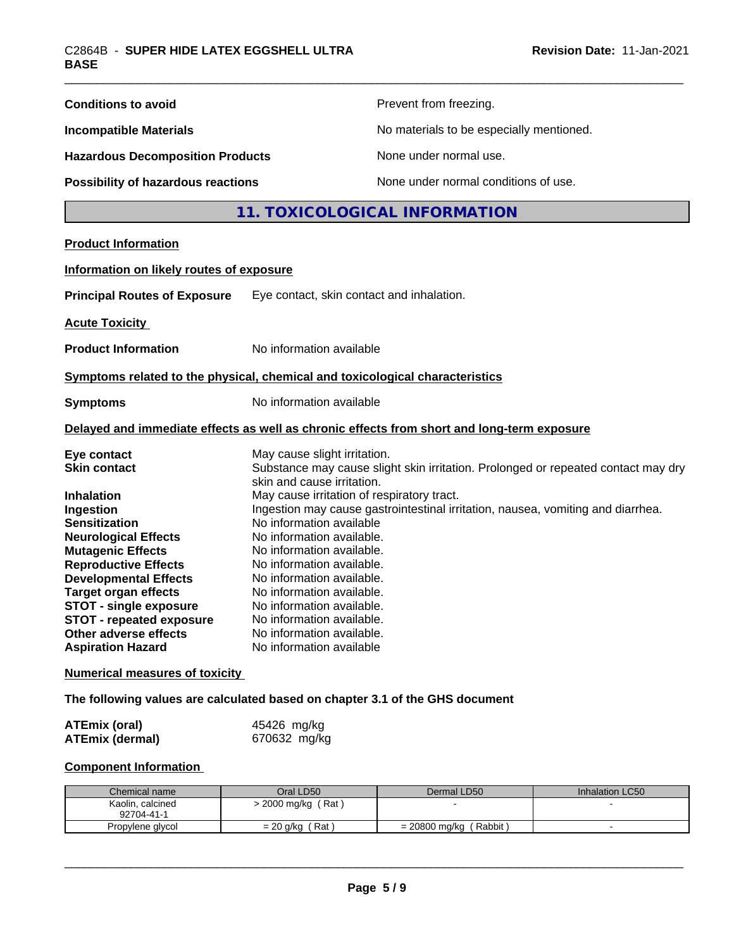| <b>Conditions to avoid</b>                                                                                                                                                                                                                                                                                                                                                                                                                      |                                                                                                                                                                                                                                                                                                                                                                                                                                                                                                                                                                                                                                                                                                                                                                | Prevent from freezing.                   |                           |
|-------------------------------------------------------------------------------------------------------------------------------------------------------------------------------------------------------------------------------------------------------------------------------------------------------------------------------------------------------------------------------------------------------------------------------------------------|----------------------------------------------------------------------------------------------------------------------------------------------------------------------------------------------------------------------------------------------------------------------------------------------------------------------------------------------------------------------------------------------------------------------------------------------------------------------------------------------------------------------------------------------------------------------------------------------------------------------------------------------------------------------------------------------------------------------------------------------------------------|------------------------------------------|---------------------------|
| <b>Incompatible Materials</b>                                                                                                                                                                                                                                                                                                                                                                                                                   |                                                                                                                                                                                                                                                                                                                                                                                                                                                                                                                                                                                                                                                                                                                                                                | No materials to be especially mentioned. |                           |
| <b>Hazardous Decomposition Products</b>                                                                                                                                                                                                                                                                                                                                                                                                         |                                                                                                                                                                                                                                                                                                                                                                                                                                                                                                                                                                                                                                                                                                                                                                | None under normal use.                   |                           |
| <b>Possibility of hazardous reactions</b>                                                                                                                                                                                                                                                                                                                                                                                                       |                                                                                                                                                                                                                                                                                                                                                                                                                                                                                                                                                                                                                                                                                                                                                                | None under normal conditions of use.     |                           |
|                                                                                                                                                                                                                                                                                                                                                                                                                                                 |                                                                                                                                                                                                                                                                                                                                                                                                                                                                                                                                                                                                                                                                                                                                                                | 11. TOXICOLOGICAL INFORMATION            |                           |
| <b>Product Information</b>                                                                                                                                                                                                                                                                                                                                                                                                                      |                                                                                                                                                                                                                                                                                                                                                                                                                                                                                                                                                                                                                                                                                                                                                                |                                          |                           |
| Information on likely routes of exposure                                                                                                                                                                                                                                                                                                                                                                                                        |                                                                                                                                                                                                                                                                                                                                                                                                                                                                                                                                                                                                                                                                                                                                                                |                                          |                           |
| <b>Principal Routes of Exposure</b>                                                                                                                                                                                                                                                                                                                                                                                                             | Eye contact, skin contact and inhalation.                                                                                                                                                                                                                                                                                                                                                                                                                                                                                                                                                                                                                                                                                                                      |                                          |                           |
| <b>Acute Toxicity</b>                                                                                                                                                                                                                                                                                                                                                                                                                           |                                                                                                                                                                                                                                                                                                                                                                                                                                                                                                                                                                                                                                                                                                                                                                |                                          |                           |
| <b>Product Information</b>                                                                                                                                                                                                                                                                                                                                                                                                                      | No information available                                                                                                                                                                                                                                                                                                                                                                                                                                                                                                                                                                                                                                                                                                                                       |                                          |                           |
| Symptoms related to the physical, chemical and toxicological characteristics                                                                                                                                                                                                                                                                                                                                                                    |                                                                                                                                                                                                                                                                                                                                                                                                                                                                                                                                                                                                                                                                                                                                                                |                                          |                           |
| <b>Symptoms</b>                                                                                                                                                                                                                                                                                                                                                                                                                                 | No information available                                                                                                                                                                                                                                                                                                                                                                                                                                                                                                                                                                                                                                                                                                                                       |                                          |                           |
|                                                                                                                                                                                                                                                                                                                                                                                                                                                 |                                                                                                                                                                                                                                                                                                                                                                                                                                                                                                                                                                                                                                                                                                                                                                |                                          |                           |
| Eye contact<br><b>Skin contact</b><br><b>Inhalation</b><br>Ingestion<br><b>Sensitization</b><br><b>Neurological Effects</b><br><b>Mutagenic Effects</b><br><b>Reproductive Effects</b><br><b>Developmental Effects</b><br><b>Target organ effects</b><br><b>STOT - single exposure</b><br><b>STOT - repeated exposure</b><br>Other adverse effects<br><b>Aspiration Hazard</b><br><b>Numerical measures of toxicity</b><br><b>ATEmix (oral)</b> | Delayed and immediate effects as well as chronic effects from short and long-term exposure<br>May cause slight irritation.<br>Substance may cause slight skin irritation. Prolonged or repeated contact may dry<br>skin and cause irritation.<br>May cause irritation of respiratory tract.<br>Ingestion may cause gastrointestinal irritation, nausea, vomiting and diarrhea.<br>No information available<br>No information available.<br>No information available.<br>No information available.<br>No information available.<br>No information available.<br>No information available.<br>No information available.<br>No information available.<br>No information available<br>The following values are calculated based on chapter 3.1 of the GHS document |                                          |                           |
| <b>ATEmix (dermal)</b>                                                                                                                                                                                                                                                                                                                                                                                                                          | 45426 mg/kg<br>670632 mg/kg                                                                                                                                                                                                                                                                                                                                                                                                                                                                                                                                                                                                                                                                                                                                    |                                          |                           |
| <b>Component Information</b>                                                                                                                                                                                                                                                                                                                                                                                                                    |                                                                                                                                                                                                                                                                                                                                                                                                                                                                                                                                                                                                                                                                                                                                                                |                                          |                           |
| Chemical name<br>Kaolin, calcined<br>92704-41-1<br>Propylene glycol                                                                                                                                                                                                                                                                                                                                                                             | Oral LD50<br>> 2000 mg/kg (Rat)<br>$= 20$ g/kg (Rat)                                                                                                                                                                                                                                                                                                                                                                                                                                                                                                                                                                                                                                                                                                           | Dermal LD50<br>$= 20800$ mg/kg (Rabbit)  | Inhalation LC50<br>$\sim$ |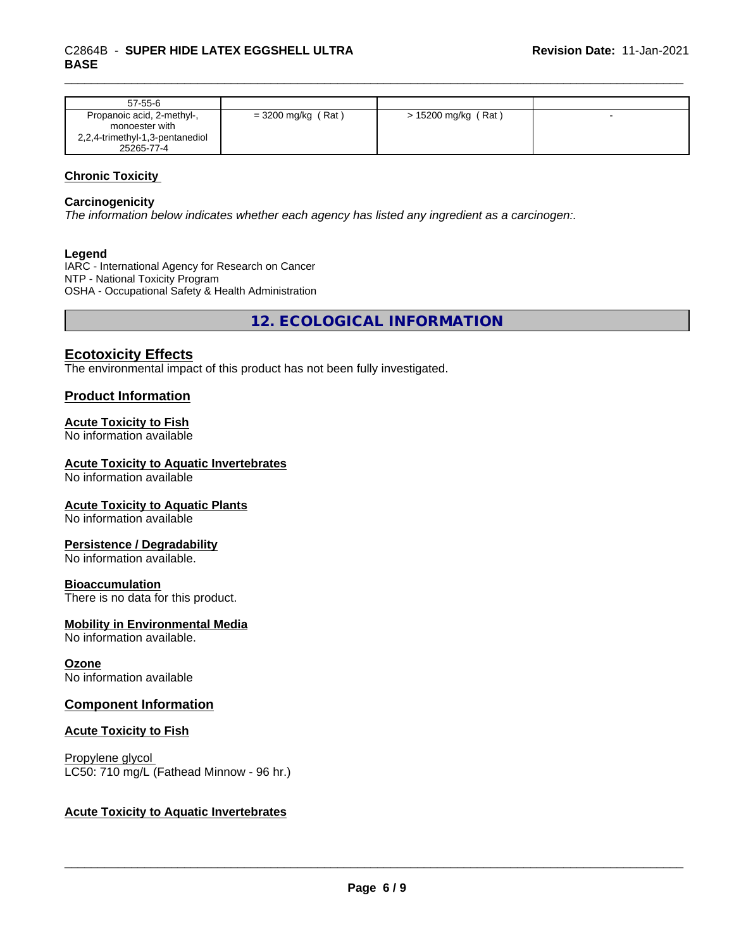| $57-55-6$                                                                                     |                    |                     |  |
|-----------------------------------------------------------------------------------------------|--------------------|---------------------|--|
| Propanoic acid, 2-methyl-,<br>monoester with<br>2,2,4-trimethyl-1,3-pentanediol<br>25265-77-4 | = 3200 mg/kg (Rat) | > 15200 mg/kg (Rat) |  |

# **Chronic Toxicity**

#### **Carcinogenicity**

*The information below indicateswhether each agency has listed any ingredient as a carcinogen:.*

#### **Legend**

IARC - International Agency for Research on Cancer NTP - National Toxicity Program OSHA - Occupational Safety & Health Administration

**12. ECOLOGICAL INFORMATION**

# **Ecotoxicity Effects**

The environmental impact of this product has not been fully investigated.

## **Product Information**

## **Acute Toxicity to Fish**

No information available

# **Acute Toxicity to Aquatic Invertebrates**

No information available

#### **Acute Toxicity to Aquatic Plants**

No information available

#### **Persistence / Degradability**

No information available.

#### **Bioaccumulation**

There is no data for this product.

## **Mobility in Environmental Media**

No information available.

#### **Ozone**

No information available

# **Component Information**

#### **Acute Toxicity to Fish**

Propylene glycol LC50: 710 mg/L (Fathead Minnow - 96 hr.)

# **Acute Toxicity to Aquatic Invertebrates**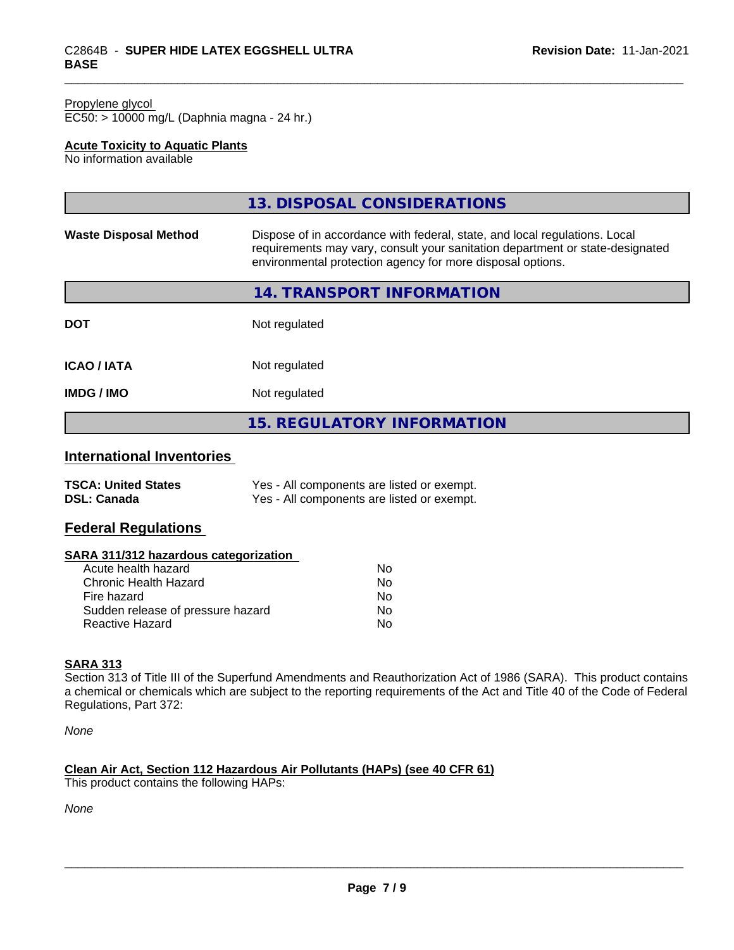#### Propylene glycol EC50: > 10000 mg/L (Daphnia magna - 24 hr.)

# **Acute Toxicity to Aquatic Plants**

No information available

|                              | 13. DISPOSAL CONSIDERATIONS                                                                                                                                                                                               |
|------------------------------|---------------------------------------------------------------------------------------------------------------------------------------------------------------------------------------------------------------------------|
| <b>Waste Disposal Method</b> | Dispose of in accordance with federal, state, and local regulations. Local<br>requirements may vary, consult your sanitation department or state-designated<br>environmental protection agency for more disposal options. |
|                              | 14. TRANSPORT INFORMATION                                                                                                                                                                                                 |
| <b>DOT</b>                   | Not regulated                                                                                                                                                                                                             |
| <b>ICAO / IATA</b>           | Not regulated                                                                                                                                                                                                             |
| <b>IMDG/IMO</b>              | Not regulated                                                                                                                                                                                                             |
|                              | <b>15. REGULATORY INFORMATION</b>                                                                                                                                                                                         |

# **International Inventories**

| <b>TSCA: United States</b> | Yes - All components are listed or exempt. |
|----------------------------|--------------------------------------------|
| <b>DSL: Canada</b>         | Yes - All components are listed or exempt. |

# **Federal Regulations**

## **SARA 311/312 hazardous categorization**

| Acute health hazard               | No. |  |
|-----------------------------------|-----|--|
| Chronic Health Hazard             | Nο  |  |
| Fire hazard                       | N٥  |  |
| Sudden release of pressure hazard | Nο  |  |
| Reactive Hazard                   | Nο  |  |

## **SARA 313**

Section 313 of Title III of the Superfund Amendments and Reauthorization Act of 1986 (SARA). This product contains a chemical or chemicals which are subject to the reporting requirements of the Act and Title 40 of the Code of Federal Regulations, Part 372:

*None*

# **Clean Air Act,Section 112 Hazardous Air Pollutants (HAPs) (see 40 CFR 61)**

This product contains the following HAPs:

*None*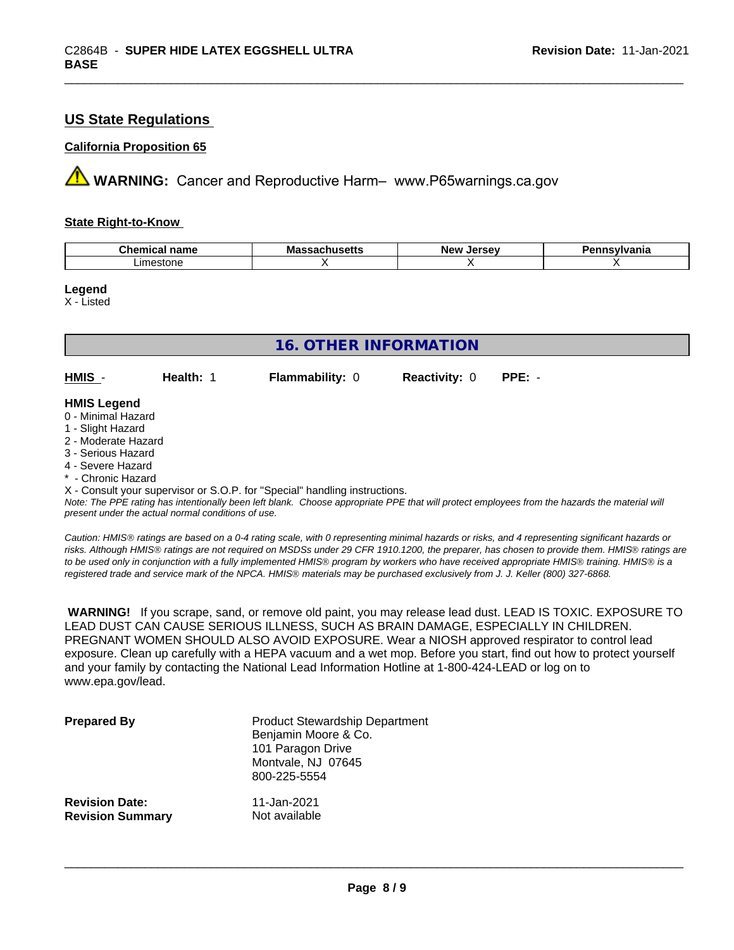# **US State Regulations**

# **California Proposition 65**

**A** WARNING: Cancer and Reproductive Harm– www.P65warnings.ca.gov

#### **State Right-to-Know**

| سhemical ∽<br>name | wa<br>,,,,,, | ------<br>Ne۱<br>$\cdot$<br>. | וו |
|--------------------|--------------|-------------------------------|----|
| ∟ımes<br>:stor     |              |                               |    |

**Legend**

X - Listed

| <b>16. OTHER INFORMATION</b>                                                                                                                          |           |                                                                            |                      |          |  |
|-------------------------------------------------------------------------------------------------------------------------------------------------------|-----------|----------------------------------------------------------------------------|----------------------|----------|--|
| HMIS -                                                                                                                                                | Health: 1 | <b>Flammability: 0</b>                                                     | <b>Reactivity: 0</b> | $PPE: -$ |  |
| <b>HMIS Legend</b><br>0 - Minimal Hazard<br>1 - Slight Hazard<br>2 - Moderate Hazard<br>3 - Serious Hazard<br>4 - Severe Hazard<br>* - Chronic Hazard |           | X - Consult your supervisor or S.O.P. for "Special" handling instructions. |                      |          |  |

*Note: The PPE rating has intentionally been left blank. Choose appropriate PPE that will protect employees from the hazards the material will present under the actual normal conditions of use.*

*Caution: HMISÒ ratings are based on a 0-4 rating scale, with 0 representing minimal hazards or risks, and 4 representing significant hazards or risks. Although HMISÒ ratings are not required on MSDSs under 29 CFR 1910.1200, the preparer, has chosen to provide them. HMISÒ ratings are to be used only in conjunction with a fully implemented HMISÒ program by workers who have received appropriate HMISÒ training. HMISÒ is a registered trade and service mark of the NPCA. HMISÒ materials may be purchased exclusively from J. J. Keller (800) 327-6868.*

 **WARNING!** If you scrape, sand, or remove old paint, you may release lead dust. LEAD IS TOXIC. EXPOSURE TO LEAD DUST CAN CAUSE SERIOUS ILLNESS, SUCH AS BRAIN DAMAGE, ESPECIALLY IN CHILDREN. PREGNANT WOMEN SHOULD ALSO AVOID EXPOSURE.Wear a NIOSH approved respirator to control lead exposure. Clean up carefully with a HEPA vacuum and a wet mop. Before you start, find out how to protect yourself and your family by contacting the National Lead Information Hotline at 1-800-424-LEAD or log on to www.epa.gov/lead.

| <b>Prepared By</b>      | <b>Product Stewardship Department</b><br>Benjamin Moore & Co.<br>101 Paragon Drive<br>Montvale, NJ 07645<br>800-225-5554 |
|-------------------------|--------------------------------------------------------------------------------------------------------------------------|
| <b>Revision Date:</b>   | 11-Jan-2021                                                                                                              |
| <b>Revision Summary</b> | Not available                                                                                                            |